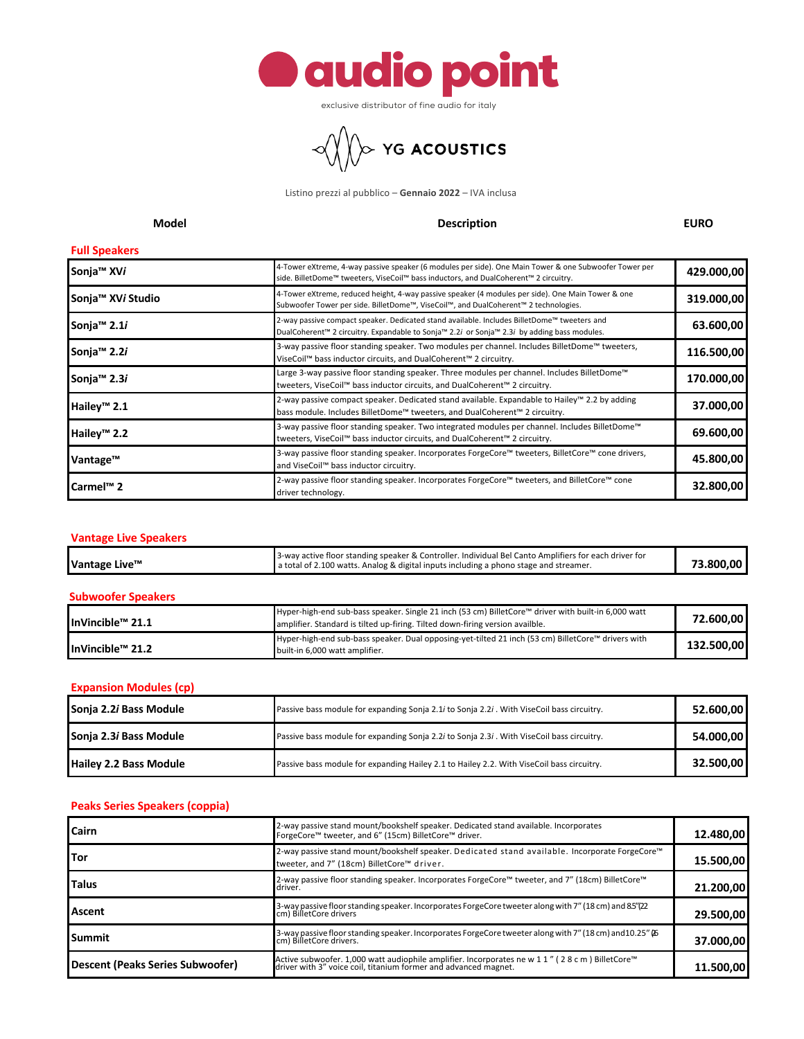

exclusive distributor of fine audio for italy



Listino prezzi al pubblico – **Gennaio 2022** – IVA inclusa

# **Model Description EURO**

# **Full Speakers**

| <b>FUIL SPEARELS</b>          |                                                                                                                                                                                               |            |
|-------------------------------|-----------------------------------------------------------------------------------------------------------------------------------------------------------------------------------------------|------------|
| Sonja <sup>™</sup> XVi        | 4-Tower eXtreme, 4-way passive speaker (6 modules per side). One Main Tower & one Subwoofer Tower per<br>side. BilletDome™ tweeters, ViseCoil™ bass inductors, and DualCoherent™ 2 circuitry. | 429.000,00 |
| Sonja <sup>™</sup> XVi Studio | 4-Tower eXtreme, reduced height, 4-way passive speaker (4 modules per side). One Main Tower & one<br>Subwoofer Tower per side. BilletDome™, ViseCoil™, and DualCoherent™ 2 technologies.      | 319.000,00 |
| Sonja <sup>™</sup> 2.1i       | 2-way passive compact speaker. Dedicated stand available. Includes BilletDome™ tweeters and<br>DualCoherent™ 2 circuitry. Expandable to Sonja™ 2.2i or Sonja™ 2.3i by adding bass modules.    | 63.600,00  |
| Sonja <sup>™</sup> 2.2i       | 3-way passive floor standing speaker. Two modules per channel. Includes BilletDome™ tweeters,<br>ViseCoil™ bass inductor circuits, and DualCoherent™ 2 circuitry.                             | 116.500,00 |
| Sonja <sup>™</sup> 2.3i       | Large 3-way passive floor standing speaker. Three modules per channel. Includes BilletDome™<br>tweeters, ViseCoil™ bass inductor circuits, and DualCoherent™ 2 circuitry.                     | 170.000,00 |
| Hailey <sup>™</sup> 2.1       | 2-way passive compact speaker. Dedicated stand available. Expandable to Hailey™ 2.2 by adding<br>bass module. Includes BilletDome™ tweeters, and DualCoherent™ 2 circuitry.                   | 37.000,00  |
| Hailey <sup>™</sup> 2.2       | 3-way passive floor standing speaker. Two integrated modules per channel. Includes BilletDome™<br>tweeters, ViseCoil™ bass inductor circuits, and DualCoherent™ 2 circuitry.                  | 69.600,00  |
| Vantage™                      | 3-way passive floor standing speaker. Incorporates ForgeCore™ tweeters, BilletCore™ cone drivers,<br>and ViseCoil™ bass inductor circuitry.                                                   | 45.800,00  |
| Carmel <sup>™</sup> 2         | 2-way passive floor standing speaker. Incorporates ForgeCore™ tweeters, and BilletCore™ cone<br>driver technology.                                                                            | 32.800,00  |

# **Vantage Live Speakers**

| 13-way active floor standing speaker & Controller. Individual Bel Canto Amplifiers for each driver for<br>73.800.00<br>Vantage Live™<br>a total of 2.100 watts. Analog & digital inputs including a phono stage and streamer. |  |
|-------------------------------------------------------------------------------------------------------------------------------------------------------------------------------------------------------------------------------|--|
|-------------------------------------------------------------------------------------------------------------------------------------------------------------------------------------------------------------------------------|--|

### **Subwoofer Speakers**

| HnVincible™ 21.1             | Hyper-high-end sub-bass speaker. Single 21 inch (53 cm) BilletCore™ driver with built-in 6,000 watt<br>amplifier. Standard is tilted up-firing. Tilted down-firing version availble. | 72.600.00  |
|------------------------------|--------------------------------------------------------------------------------------------------------------------------------------------------------------------------------------|------------|
| InVincible <sup>™</sup> 21.2 | Hyper-high-end sub-bass speaker. Dual opposing-yet-tilted 21 inch (53 cm) BilletCore™ drivers with<br>built-in 6,000 watt amplifier.                                                 | 132.500.00 |

#### **Expansion Modules (cp)**

| Sonja 2.2i Bass Module        | Passive bass module for expanding Sonja 2.1i to Sonja 2.2i . With ViseCoil bass circuitry. | 52.600.00 |
|-------------------------------|--------------------------------------------------------------------------------------------|-----------|
| Sonja 2.3i Bass Module        | Passive bass module for expanding Sonja 2.2i to Sonja 2.3i . With ViseCoil bass circuitry. | 54.000.00 |
| <b>Hailey 2.2 Bass Module</b> | Passive bass module for expanding Hailey 2.1 to Hailey 2.2. With ViseCoil bass circuitry.  | 32.500,00 |

#### **Peaks Series Speakers (coppia)**

| Cairn                                   | 2-way passive stand mount/bookshelf speaker. Dedicated stand available. Incorporates<br>ForgeCore™ tweeter, and 6" (15cm) BilletCore™ driver.                     | 12.480,00 |
|-----------------------------------------|-------------------------------------------------------------------------------------------------------------------------------------------------------------------|-----------|
| Tor                                     | 2-way passive stand mount/bookshelf speaker. Dedicated stand available. Incorporate ForgeCore™<br>tweeter, and 7" (18cm) BilletCore™ driver.                      | 15.500,00 |
| Talus                                   | 2-way passive floor standing speaker. Incorporates ForgeCore™ tweeter, and 7" (18cm) BilletCore™<br>driver.                                                       | 21.200,00 |
| Ascent                                  | 3-way passive floor standing speaker. Incorporates ForgeCore tweeter along with 7" (18 cm) and 8.5" (22<br>cm) BilletCore drivers                                 | 29.500,00 |
| Summit                                  | 3-way passive floor standing speaker. Incorporates ForgeCore tweeter along with 7" (18 cm) and 10.25" (6<br>cm) BilletCore drivers.                               | 37.000,00 |
| <b>Descent (Peaks Series Subwoofer)</b> | Active subwoofer. 1,000 watt audiophile amplifier. Incorporates ne w 1 1" (28 c m) BilletCore™<br>driver with 3" voice coil, titanium former and advanced magnet. | 11.500,00 |